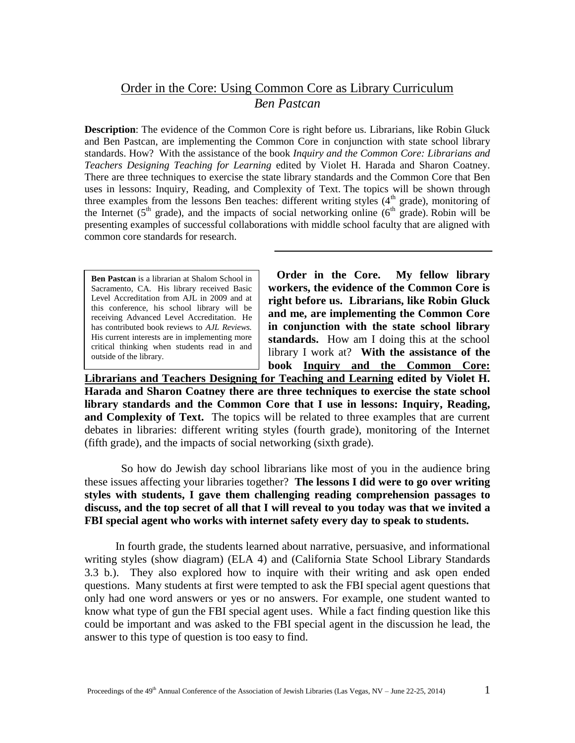### Order in the Core: Using Common Core as Library Curriculum

*Ben Pastcan*

**Description**: The evidence of the Common Core is right before us. Librarians, like Robin Gluck and Ben Pastcan, are implementing the Common Core in conjunction with state school library standards. How? With the assistance of the book *Inquiry and the Common Core: Librarians and Teachers Designing Teaching for Learning* edited by Violet H. Harada and Sharon Coatney. There are three techniques to exercise the state library standards and the Common Core that Ben uses in lessons: Inquiry, Reading, and Complexity of Text. The topics will be shown through three examples from the lessons Ben teaches: different writing styles  $(4<sup>th</sup> grade)$ , monitoring of the Internet ( $5<sup>th</sup>$  grade), and the impacts of social networking online ( $6<sup>th</sup>$  grade). Robin will be presenting examples of successful collaborations with middle school faculty that are aligned with common core standards for research.

**Ben Pastcan** is a librarian at Shalom School in Sacramento, CA. His library received Basic Level Accreditation from AJL in 2009 and at this conference, his school library will be receiving Advanced Level Accreditation. He has contributed book reviews to *AJL Reviews.* His current interests are in implementing more critical thinking when students read in and outside of the library.

 **Order in the Core. My fellow library workers, the evidence of the Common Core is right before us. Librarians, like Robin Gluck and me, are implementing the Common Core in conjunction with the state school library standards.** How am I doing this at the school library I work at?**With the assistance of the book Inquiry and the Common Core:** 

**Librarians and Teachers Designing for Teaching and Learning edited by Violet H. Harada and Sharon Coatney there are three techniques to exercise the state school library standards and the Common Core that I use in lessons: Inquiry, Reading, and Complexity of Text.** The topics will be related to three examples that are current debates in libraries: different writing styles (fourth grade), monitoring of the Internet (fifth grade), and the impacts of social networking (sixth grade).

 So how do Jewish day school librarians like most of you in the audience bring these issues affecting your libraries together? **The lessons I did were to go over writing styles with students, I gave them challenging reading comprehension passages to discuss, and the top secret of all that I will reveal to you today was that we invited a FBI special agent who works with internet safety every day to speak to students.**

 In fourth grade, the students learned about narrative, persuasive, and informational writing styles (show diagram) (ELA 4) and (California State School Library Standards 3.3 b.). They also explored how to inquire with their writing and ask open ended questions. Many students at first were tempted to ask the FBI special agent questions that only had one word answers or yes or no answers. For example, one student wanted to know what type of gun the FBI special agent uses. While a fact finding question like this could be important and was asked to the FBI special agent in the discussion he lead, the answer to this type of question is too easy to find.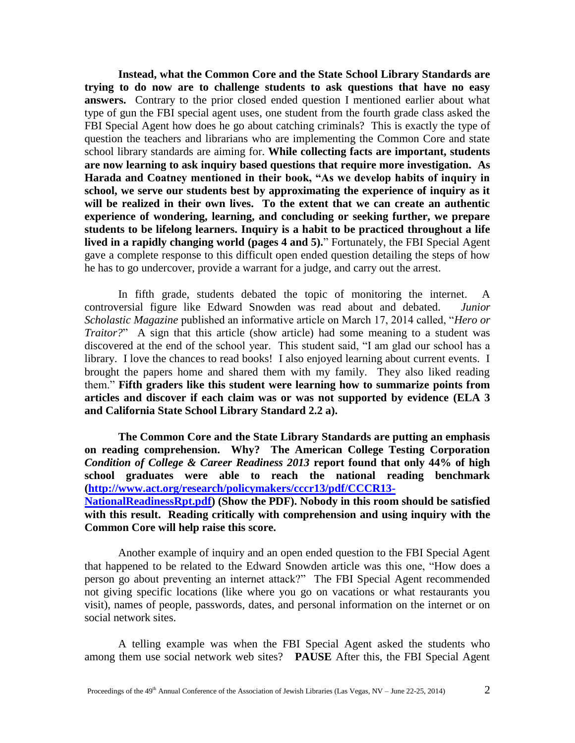**Instead, what the Common Core and the State School Library Standards are trying to do now are to challenge students to ask questions that have no easy answers.** Contrary to the prior closed ended question I mentioned earlier about what type of gun the FBI special agent uses, one student from the fourth grade class asked the FBI Special Agent how does he go about catching criminals? This is exactly the type of question the teachers and librarians who are implementing the Common Core and state school library standards are aiming for. **While collecting facts are important, students are now learning to ask inquiry based questions that require more investigation. As Harada and Coatney mentioned in their book, "As we develop habits of inquiry in school, we serve our students best by approximating the experience of inquiry as it will be realized in their own lives. To the extent that we can create an authentic experience of wondering, learning, and concluding or seeking further, we prepare students to be lifelong learners. Inquiry is a habit to be practiced throughout a life lived in a rapidly changing world (pages 4 and 5).**" Fortunately, the FBI Special Agent gave a complete response to this difficult open ended question detailing the steps of how he has to go undercover, provide a warrant for a judge, and carry out the arrest.

In fifth grade, students debated the topic of monitoring the internet. A controversial figure like Edward Snowden was read about and debated. *Junior Scholastic Magazine* published an informative article on March 17, 2014 called, "*Hero or Traitor?*" A sign that this article (show article) had some meaning to a student was discovered at the end of the school year. This student said, "I am glad our school has a library. I love the chances to read books! I also enjoyed learning about current events. I brought the papers home and shared them with my family. They also liked reading them." **Fifth graders like this student were learning how to summarize points from articles and discover if each claim was or was not supported by evidence (ELA 3 and California State School Library Standard 2.2 a).** 

**The Common Core and the State Library Standards are putting an emphasis on reading comprehension. Why? The American College Testing Corporation**  *Condition of College & Career Readiness 2013* **report found that only 44% of high school graduates were able to reach the national reading benchmark [\(http://www.act.org/research/policymakers/cccr13/pdf/CCCR13-](http://www.act.org/research/policymakers/cccr13/pdf/CCCR13-NationalReadinessRpt.pdf) [NationalReadinessRpt.pdf\)](http://www.act.org/research/policymakers/cccr13/pdf/CCCR13-NationalReadinessRpt.pdf) (Show the PDF). Nobody in this room should be satisfied with this result. Reading critically with comprehension and using inquiry with the Common Core will help raise this score.**

Another example of inquiry and an open ended question to the FBI Special Agent that happened to be related to the Edward Snowden article was this one, "How does a person go about preventing an internet attack?" The FBI Special Agent recommended not giving specific locations (like where you go on vacations or what restaurants you visit), names of people, passwords, dates, and personal information on the internet or on social network sites.

A telling example was when the FBI Special Agent asked the students who among them use social network web sites? **PAUSE** After this, the FBI Special Agent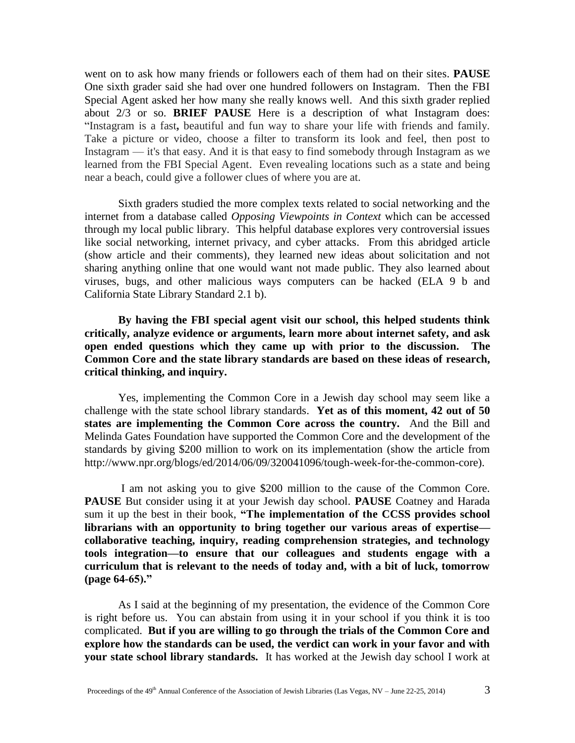went on to ask how many friends or followers each of them had on their sites. **PAUSE** One sixth grader said she had over one hundred followers on Instagram. Then the FBI Special Agent asked her how many she really knows well. And this sixth grader replied about 2/3 or so. **BRIEF PAUSE** Here is a description of what Instagram does: "Instagram is a fast**,** beautiful and fun way to share your life with friends and family. Take a picture or video, choose a filter to transform its look and feel, then post to Instagram — it's that easy. And it is that easy to find somebody through Instagram as we learned from the FBI Special Agent. Even revealing locations such as a state and being near a beach, could give a follower clues of where you are at.

Sixth graders studied the more complex texts related to social networking and the internet from a database called *Opposing Viewpoints in Context* which can be accessed through my local public library. This helpful database explores very controversial issues like social networking, internet privacy, and cyber attacks. From this abridged article (show article and their comments), they learned new ideas about solicitation and not sharing anything online that one would want not made public. They also learned about viruses, bugs, and other malicious ways computers can be hacked (ELA 9 b and California State Library Standard 2.1 b).

**By having the FBI special agent visit our school, this helped students think critically, analyze evidence or arguments, learn more about internet safety, and ask open ended questions which they came up with prior to the discussion. The Common Core and the state library standards are based on these ideas of research, critical thinking, and inquiry.**

Yes, implementing the Common Core in a Jewish day school may seem like a challenge with the state school library standards. **Yet as of this moment, 42 out of 50 states are implementing the Common Core across the country.** And the Bill and Melinda Gates Foundation have supported the Common Core and the development of the standards by giving \$200 million to work on its implementation (show the article from http://www.npr.org/blogs/ed/2014/06/09/320041096/tough-week-for-the-common-core).

I am not asking you to give \$200 million to the cause of the Common Core. **PAUSE** But consider using it at your Jewish day school. **PAUSE** Coatney and Harada sum it up the best in their book, **"The implementation of the CCSS provides school librarians with an opportunity to bring together our various areas of expertise collaborative teaching, inquiry, reading comprehension strategies, and technology tools integration—to ensure that our colleagues and students engage with a curriculum that is relevant to the needs of today and, with a bit of luck, tomorrow (page 64-65)."**

As I said at the beginning of my presentation, the evidence of the Common Core is right before us. You can abstain from using it in your school if you think it is too complicated. **But if you are willing to go through the trials of the Common Core and explore how the standards can be used, the verdict can work in your favor and with your state school library standards.** It has worked at the Jewish day school I work at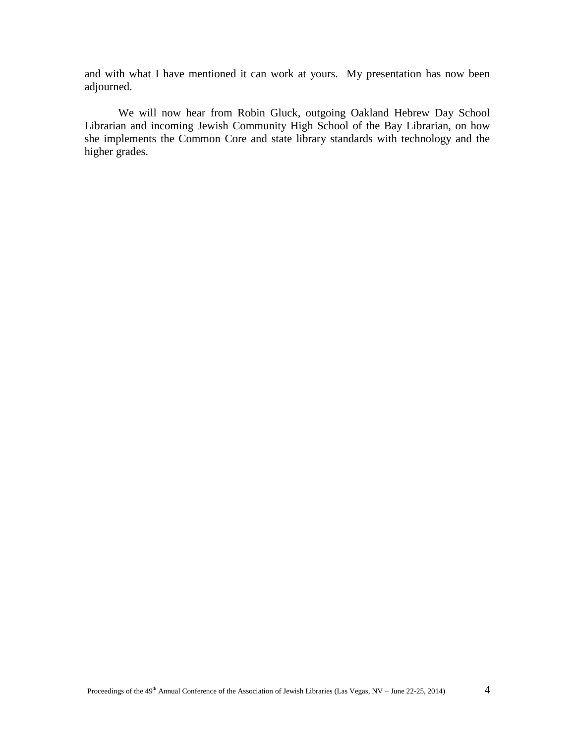and with what I have mentioned it can work at yours. My presentation has now been adjourned.

We will now hear from Robin Gluck, outgoing Oakland Hebrew Day School Librarian and incoming Jewish Community High School of the Bay Librarian, on how she implements the Common Core and state library standards with technology and the higher grades.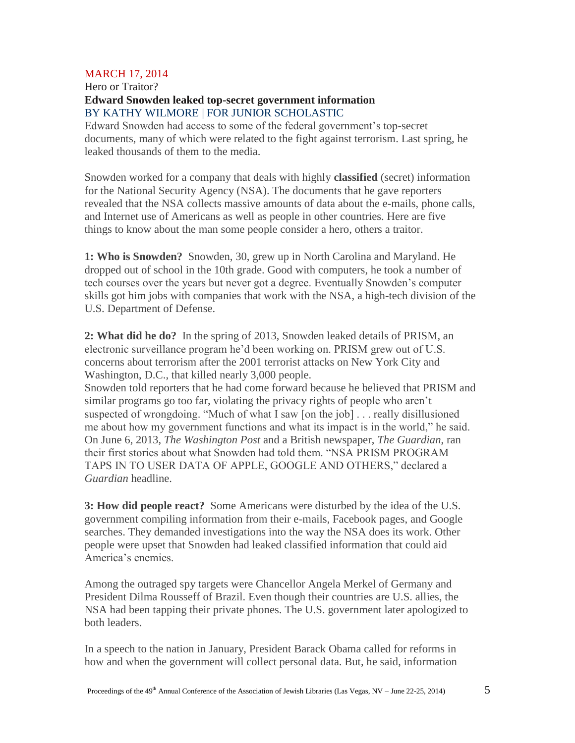#### MARCH 17, 2014

Hero or Traitor? **Edward Snowden leaked top-secret government information** BY KATHY WILMORE | FOR JUNIOR SCHOLASTIC

Edward Snowden had access to some of the federal government's top-secret documents, many of which were related to the fight against terrorism. Last spring, he leaked thousands of them to the media.

Snowden worked for a company that deals with highly **classified** (secret) information for the National Security Agency (NSA). The documents that he gave reporters revealed that the NSA collects massive amounts of data about the e-mails, phone calls, and Internet use of Americans as well as people in other countries. Here are five things to know about the man some people consider a hero, others a traitor.

**1: Who is Snowden?** Snowden, 30, grew up in North Carolina and Maryland. He dropped out of school in the 10th grade. Good with computers, he took a number of tech courses over the years but never got a degree. Eventually Snowden's computer skills got him jobs with companies that work with the NSA, a high-tech division of the U.S. Department of Defense.

**2: What did he do?** In the spring of 2013, Snowden leaked details of PRISM, an electronic surveillance program he'd been working on. PRISM grew out of U.S. concerns about terrorism after the 2001 terrorist attacks on New York City and Washington, D.C., that killed nearly 3,000 people.

Snowden told reporters that he had come forward because he believed that PRISM and similar programs go too far, violating the privacy rights of people who aren't suspected of wrongdoing. "Much of what I saw [on the job] . . . really disillusioned me about how my government functions and what its impact is in the world," he said. On June 6, 2013, *The Washington Post* and a British newspaper, *The Guardian*, ran their first stories about what Snowden had told them. "NSA PRISM PROGRAM TAPS IN TO USER DATA OF APPLE, GOOGLE AND OTHERS," declared a *Guardian* headline.

**3: How did people react?** Some Americans were disturbed by the idea of the U.S. government compiling information from their e-mails, Facebook pages, and Google searches. They demanded investigations into the way the NSA does its work. Other people were upset that Snowden had leaked classified information that could aid America's enemies.

Among the outraged spy targets were Chancellor Angela Merkel of Germany and President Dilma Rousseff of Brazil. Even though their countries are U.S. allies, the NSA had been tapping their private phones. The U.S. government later apologized to both leaders.

In a speech to the nation in January, President Barack Obama called for reforms in how and when the government will collect personal data. But, he said, information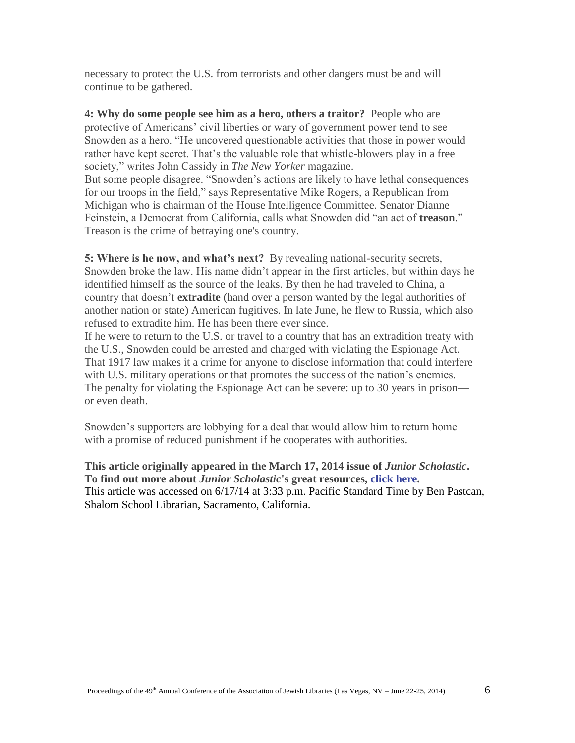necessary to protect the U.S. from terrorists and other dangers must be and will continue to be gathered.

**4: Why do some people see him as a hero, others a traitor?** People who are protective of Americans' civil liberties or wary of government power tend to see Snowden as a hero. "He uncovered questionable activities that those in power would rather have kept secret. That's the valuable role that whistle-blowers play in a free society," writes John Cassidy in *The New Yorker* magazine. But some people disagree. "Snowden's actions are likely to have lethal consequences for our troops in the field," says Representative Mike Rogers, a Republican from Michigan who is chairman of the House Intelligence Committee. Senator Dianne Feinstein, a Democrat from California, calls what Snowden did "an act of **treason**." Treason is the crime of betraying one's country.

**5: Where is he now, and what's next?** By revealing national-security secrets, Snowden broke the law. His name didn't appear in the first articles, but within days he identified himself as the source of the leaks. By then he had traveled to China, a country that doesn't **extradite** (hand over a person wanted by the legal authorities of another nation or state) American fugitives. In late June, he flew to Russia, which also refused to extradite him. He has been there ever since.

If he were to return to the U.S. or travel to a country that has an extradition treaty with the U.S., Snowden could be arrested and charged with violating the Espionage Act. That 1917 law makes it a crime for anyone to disclose information that could interfere with U.S. military operations or that promotes the success of the nation's enemies. The penalty for violating the Espionage Act can be severe: up to 30 years in prison or even death.

Snowden's supporters are lobbying for a deal that would allow him to return home with a promise of reduced punishment if he cooperates with authorities.

**This article originally appeared in the March 17, 2014 issue of** *Junior Scholastic***. To find out more about** *Junior Scholastic***'s great resources, [click here.](http://www.scholastic.com/juniorscholastic)** This article was accessed on 6/17/14 at 3:33 p.m. Pacific Standard Time by Ben Pastcan, Shalom School Librarian, Sacramento, California.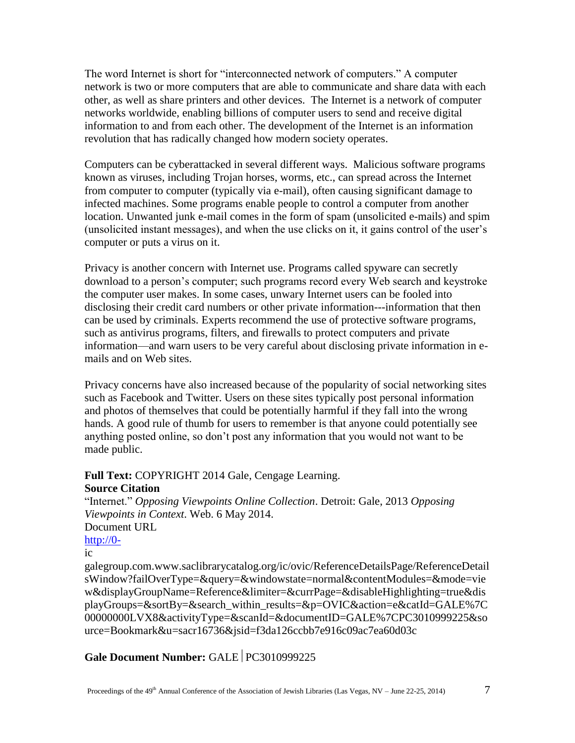The word Internet is short for "interconnected network of computers." A computer network is two or more computers that are able to communicate and share data with each other, as well as share printers and other devices. The Internet is a network of computer networks worldwide, enabling billions of computer users to send and receive digital information to and from each other. The development of the Internet is an information revolution that has radically changed how modern society operates.

Computers can be cyberattacked in several different ways. Malicious software programs known as viruses, including Trojan horses, worms, etc., can spread across the Internet from computer to computer (typically via e-mail), often causing significant damage to infected machines. Some programs enable people to control a computer from another location. Unwanted junk e-mail comes in the form of spam (unsolicited e-mails) and spim (unsolicited instant messages), and when the use clicks on it, it gains control of the user's computer or puts a virus on it.

Privacy is another concern with Internet use. Programs called spyware can secretly download to a person's computer; such programs record every Web search and keystroke the computer user makes. In some cases, unwary Internet users can be fooled into disclosing their credit card numbers or other private information---information that then can be used by criminals. Experts recommend the use of protective software programs, such as antivirus programs, filters, and firewalls to protect computers and private information—and warn users to be very careful about disclosing private information in emails and on Web sites.

Privacy concerns have also increased because of the popularity of social networking sites such as Facebook and Twitter. Users on these sites typically post personal information and photos of themselves that could be potentially harmful if they fall into the wrong hands. A good rule of thumb for users to remember is that anyone could potentially see anything posted online, so don't post any information that you would not want to be made public.

# **Full Text:** COPYRIGHT 2014 Gale, Cengage Learning. **Source Citation**

"Internet." *Opposing Viewpoints Online Collection*. Detroit: Gale, 2013 *Opposing Viewpoints in Context*. Web. 6 May 2014. Document URL [http://0-](http://0-/)

#### ic

galegroup.com.www.saclibrarycatalog.org/ic/ovic/ReferenceDetailsPage/ReferenceDetail sWindow?failOverType=&query=&windowstate=normal&contentModules=&mode=vie w&displayGroupName=Reference&limiter=&currPage=&disableHighlighting=true&dis playGroups=&sortBy=&search\_within\_results=&p=OVIC&action=e&catId=GALE%7C 00000000LVX8&activityType=&scanId=&documentID=GALE%7CPC3010999225&so urce=Bookmark&u=sacr16736&jsid=f3da126ccbb7e916c09ac7ea60d03c

## **Gale Document Number: GALE PC3010999225**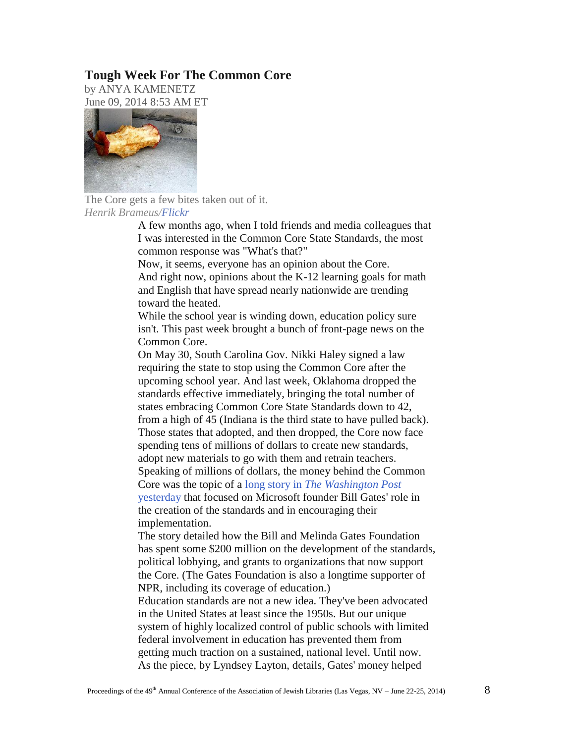#### **Tough Week For The Common Core**

by ANYA KAMENETZ June 09, 2014 8:53 AM ET



The Core gets a few bites taken out of it. *Henrik Brameus[/Flickr](https://www.flickr.com/photos/hb/24519968/in/photolist-59if3K-59nssY-7zJTpB-Cygzi-9edSLs-at82Nr-4QV83N-5FZvh8-5utMux-gb2hhG-7sumiF-e7165j-3jQc25-5H6vtx-6DjJhi-5DY9pY-9bKt1G-nJiLFe-8FMxyo-4bJMMv-4bNNVy-2y6je-7xcHU-3aEW5-7SVQg8-8J1RSV-7SZ5M5-aV8bRt-732XZ-a5)*

> A few months ago, when I told friends and media colleagues that I was interested in the Common Core State Standards, the most common response was "What's that?"

Now, it seems, everyone has an opinion about the Core. And right now, opinions about the K-12 learning goals for math and English that have spread nearly nationwide are trending toward the heated.

While the school year is winding down, education policy sure isn't. This past week brought a bunch of front-page news on the Common Core.

On May 30, South Carolina Gov. Nikki Haley signed a law requiring the state to stop using the Common Core after the upcoming school year. And last week, Oklahoma dropped the standards effective immediately, bringing the total number of states embracing Common Core State Standards down to 42, from a high of 45 (Indiana is the third state to have pulled back). Those states that adopted, and then dropped, the Core now face spending tens of millions of dollars to create new standards, adopt new materials to go with them and retrain teachers. Speaking of millions of dollars, the money behind the Common Core was the topic of a long story in *[The Washington Post](http://www.washingtonpost.com/politics/how-bill-gates-pulled-off-the-swift-common-core-revolution/2014/06/07/a830e32e-ec34-11e3-9f5c-9075d5508f0a_story.html)* [yesterday](http://www.washingtonpost.com/politics/how-bill-gates-pulled-off-the-swift-common-core-revolution/2014/06/07/a830e32e-ec34-11e3-9f5c-9075d5508f0a_story.html) that focused on Microsoft founder Bill Gates' role in the creation of the standards and in encouraging their implementation.

The story detailed how the Bill and Melinda Gates Foundation has spent some \$200 million on the development of the standards, political lobbying, and grants to organizations that now support the Core. (The Gates Foundation is also a longtime supporter of NPR, including its coverage of education.)

Education standards are not a new idea. They've been advocated in the United States at least since the 1950s. But our unique system of highly localized control of public schools with limited federal involvement in education has prevented them from getting much traction on a sustained, national level. Until now. As the piece, by Lyndsey Layton, details, Gates' money helped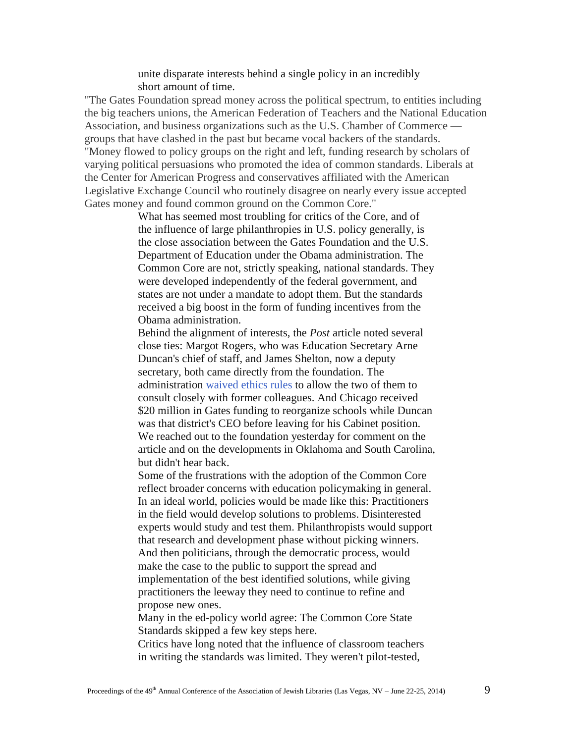unite disparate interests behind a single policy in an incredibly short amount of time.

"The Gates Foundation spread money across the political spectrum, to entities including the big teachers unions, the American Federation of Teachers and the National Education Association, and business organizations such as the U.S. Chamber of Commerce groups that have clashed in the past but became vocal backers of the standards. "Money flowed to policy groups on the right and left, funding research by scholars of varying political persuasions who promoted the idea of common standards. Liberals at the Center for American Progress and conservatives affiliated with the American Legislative Exchange Council who routinely disagree on nearly every issue accepted Gates money and found common ground on the Common Core."

> What has seemed most troubling for critics of the Core, and of the influence of large philanthropies in U.S. policy generally, is the close association between the Gates Foundation and the U.S. Department of Education under the Obama administration. The Common Core are not, strictly speaking, national standards. They were developed independently of the federal government, and states are not under a mandate to adopt them. But the standards received a big boost in the form of funding incentives from the Obama administration.

> Behind the alignment of interests, the *Post* article noted several close ties: Margot Rogers, who was Education Secretary Arne Duncan's chief of staff, and James Shelton, now a deputy secretary, both came directly from the foundation. The administration [waived ethics rules](http://www.nytimes.com/2009/10/28/education/28educ.html?_r=0) to allow the two of them to consult closely with former colleagues. And Chicago received \$20 million in Gates funding to reorganize schools while Duncan was that district's CEO before leaving for his Cabinet position. We reached out to the foundation yesterday for comment on the article and on the developments in Oklahoma and South Carolina, but didn't hear back.

> Some of the frustrations with the adoption of the Common Core reflect broader concerns with education policymaking in general. In an ideal world, policies would be made like this: Practitioners in the field would develop solutions to problems. Disinterested experts would study and test them. Philanthropists would support that research and development phase without picking winners. And then politicians, through the democratic process, would make the case to the public to support the spread and implementation of the best identified solutions, while giving practitioners the leeway they need to continue to refine and propose new ones.

Many in the ed-policy world agree: The Common Core State Standards skipped a few key steps here.

Critics have long noted that the influence of classroom teachers in writing the standards was limited. They weren't pilot-tested,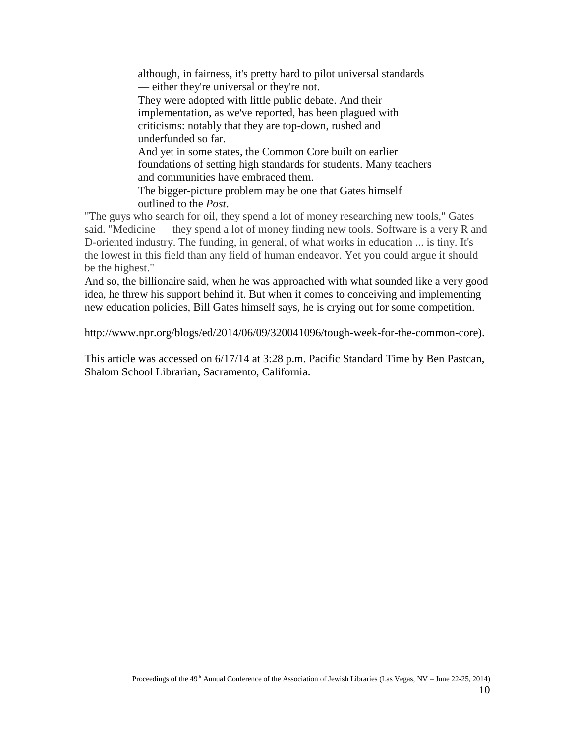although, in fairness, it's pretty hard to pilot universal standards — either they're universal or they're not. They were adopted with little public debate. And their implementation, as we've reported, has been plagued with criticisms: notably that they are top-down, rushed and underfunded so far. And yet in some states, the Common Core built on earlier foundations of setting high standards for students. Many teachers and communities have embraced them. The bigger-picture problem may be one that Gates himself outlined to the *Post*.

"The guys who search for oil, they spend a lot of money researching new tools," Gates said. "Medicine — they spend a lot of money finding new tools. Software is a very R and D-oriented industry. The funding, in general, of what works in education ... is tiny. It's the lowest in this field than any field of human endeavor. Yet you could argue it should be the highest."

And so, the billionaire said, when he was approached with what sounded like a very good idea, he threw his support behind it. But when it comes to conceiving and implementing new education policies, Bill Gates himself says, he is crying out for some competition.

http://www.npr.org/blogs/ed/2014/06/09/320041096/tough-week-for-the-common-core).

This article was accessed on 6/17/14 at 3:28 p.m. Pacific Standard Time by Ben Pastcan, Shalom School Librarian, Sacramento, California.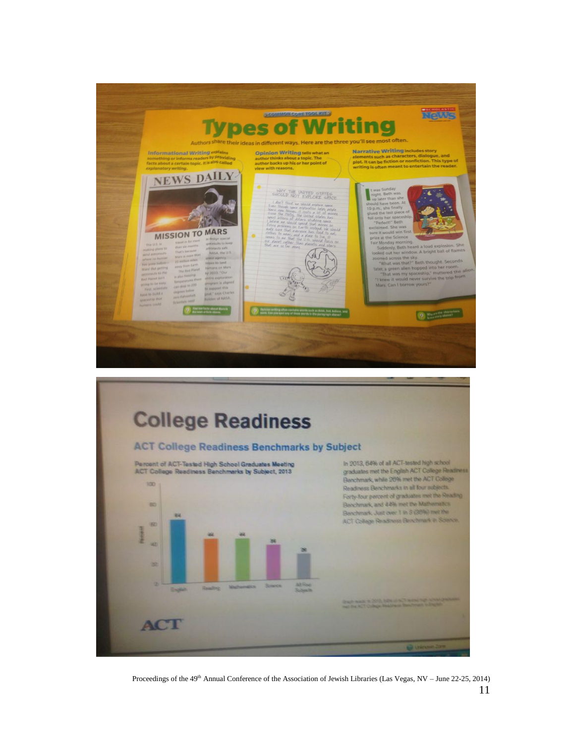



Proceedings of the 49<sup>th</sup> Annual Conference of the Association of Jewish Libraries (Las Vegas, NV – June 22-25, 2014) 11